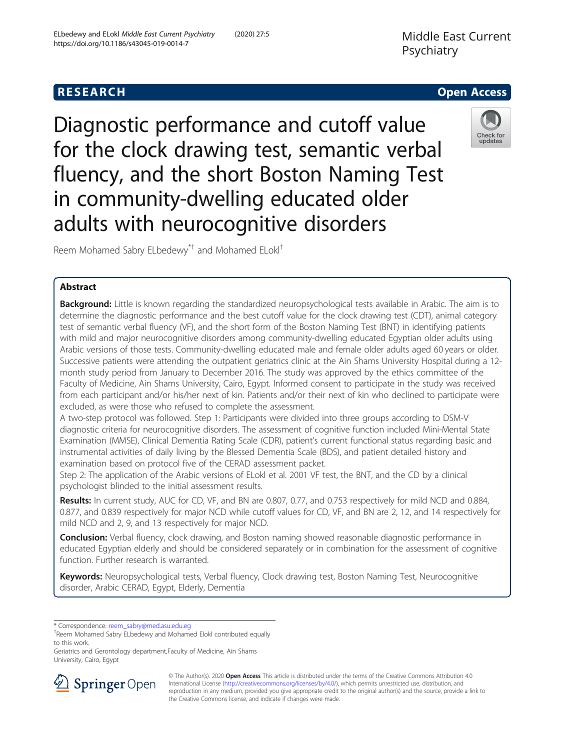# **RESEARCH CHEAR CHEAR CHEAR CHEAR CHEAR CHEAR CHEAR CHEAR CHEAR CHEAR CHEAR CHEAR CHEAR CHEAR CHEAR CHEAR CHEAR**

Diagnostic performance and cutoff value for the clock drawing test, semantic verbal fluency, and the short Boston Naming Test in community-dwelling educated older adults with neurocognitive disorders



Reem Mohamed Sabry ELbedewy\*† and Mohamed ELokl†

# Abstract

Background: Little is known regarding the standardized neuropsychological tests available in Arabic. The aim is to determine the diagnostic performance and the best cutoff value for the clock drawing test (CDT), animal category test of semantic verbal fluency (VF), and the short form of the Boston Naming Test (BNT) in identifying patients with mild and major neurocognitive disorders among community-dwelling educated Egyptian older adults using Arabic versions of those tests. Community-dwelling educated male and female older adults aged 60 years or older. Successive patients were attending the outpatient geriatrics clinic at the Ain Shams University Hospital during a 12 month study period from January to December 2016. The study was approved by the ethics committee of the Faculty of Medicine, Ain Shams University, Cairo, Egypt. Informed consent to participate in the study was received from each participant and/or his/her next of kin. Patients and/or their next of kin who declined to participate were excluded, as were those who refused to complete the assessment.

A two-step protocol was followed. Step 1: Participants were divided into three groups according to DSM-V diagnostic criteria for neurocognitive disorders. The assessment of cognitive function included Mini-Mental State Examination (MMSE), Clinical Dementia Rating Scale (CDR), patient's current functional status regarding basic and instrumental activities of daily living by the Blessed Dementia Scale (BDS), and patient detailed history and examination based on protocol five of the CERAD assessment packet.

Step 2: The application of the Arabic versions of ELokl et al. 2001 VF test, the BNT, and the CD by a clinical psychologist blinded to the initial assessment results.

Results: In current study, AUC for CD, VF, and BN are 0.807, 0.77, and 0.753 respectively for mild NCD and 0.884, 0.877, and 0.839 respectively for major NCD while cutoff values for CD, VF, and BN are 2, 12, and 14 respectively for mild NCD and 2, 9, and 13 respectively for major NCD.

**Conclusion:** Verbal fluency, clock drawing, and Boston naming showed reasonable diagnostic performance in educated Egyptian elderly and should be considered separately or in combination for the assessment of cognitive function. Further research is warranted.

Keywords: Neuropsychological tests, Verbal fluency, Clock drawing test, Boston Naming Test, Neurocognitive disorder, Arabic CERAD, Egypt, Elderly, Dementia

\* Correspondence: [reem\\_sabry@med.asu.edu.eg](mailto:reem_sabry@med.asu.edu.eg) †

Geriatrics and Gerontology department,Faculty of Medicine, Ain Shams University, Cairo, Egypt



© The Author(s). 2020 Open Access This article is distributed under the terms of the Creative Commons Attribution 4.0 International License ([http://creativecommons.org/licenses/by/4.0/\)](http://creativecommons.org/licenses/by/4.0/), which permits unrestricted use, distribution, and reproduction in any medium, provided you give appropriate credit to the original author(s) and the source, provide a link to the Creative Commons license, and indicate if changes were made.

Reem Mohamed Sabry ELbedewy and Mohamed Elokl contributed equally to this work.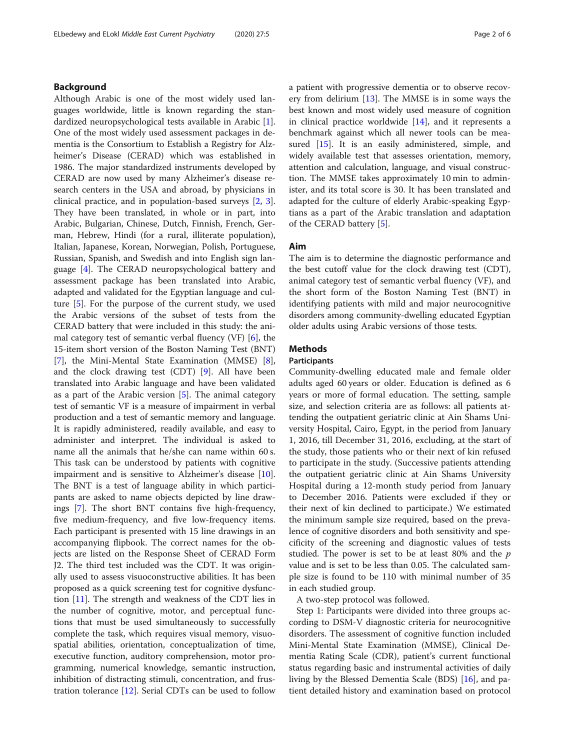# Background

Although Arabic is one of the most widely used languages worldwide, little is known regarding the standardized neuropsychological tests available in Arabic [\[1](#page-4-0)]. One of the most widely used assessment packages in dementia is the Consortium to Establish a Registry for Alzheimer's Disease (CERAD) which was established in 1986. The major standardized instruments developed by CERAD are now used by many Alzheimer's disease research centers in the USA and abroad, by physicians in clinical practice, and in population-based surveys [\[2](#page-4-0), [3](#page-4-0)]. They have been translated, in whole or in part, into Arabic, Bulgarian, Chinese, Dutch, Finnish, French, German, Hebrew, Hindi (for a rural, illiterate population), Italian, Japanese, Korean, Norwegian, Polish, Portuguese, Russian, Spanish, and Swedish and into English sign language [[4\]](#page-4-0). The CERAD neuropsychological battery and assessment package has been translated into Arabic, adapted and validated for the Egyptian language and culture [\[5](#page-4-0)]. For the purpose of the current study, we used the Arabic versions of the subset of tests from the CERAD battery that were included in this study: the animal category test of semantic verbal fluency (VF) [\[6](#page-4-0)], the 15-item short version of the Boston Naming Test (BNT) [[7\]](#page-4-0), the Mini-Mental State Examination (MMSE) [\[8](#page-4-0)], and the clock drawing test (CDT) [[9\]](#page-4-0). All have been translated into Arabic language and have been validated as a part of the Arabic version [[5](#page-4-0)]. The animal category test of semantic VF is a measure of impairment in verbal production and a test of semantic memory and language. It is rapidly administered, readily available, and easy to administer and interpret. The individual is asked to name all the animals that he/she can name within 60 s. This task can be understood by patients with cognitive impairment and is sensitive to Alzheimer's disease [\[10](#page-4-0)]. The BNT is a test of language ability in which participants are asked to name objects depicted by line drawings [\[7](#page-4-0)]. The short BNT contains five high-frequency, five medium-frequency, and five low-frequency items. Each participant is presented with 15 line drawings in an accompanying flipbook. The correct names for the objects are listed on the Response Sheet of CERAD Form J2. The third test included was the CDT. It was originally used to assess visuoconstructive abilities. It has been proposed as a quick screening test for cognitive dysfunction [[11](#page-5-0)]. The strength and weakness of the CDT lies in the number of cognitive, motor, and perceptual functions that must be used simultaneously to successfully complete the task, which requires visual memory, visuospatial abilities, orientation, conceptualization of time, executive function, auditory comprehension, motor programming, numerical knowledge, semantic instruction, inhibition of distracting stimuli, concentration, and frustration tolerance [\[12\]](#page-5-0). Serial CDTs can be used to follow a patient with progressive dementia or to observe recovery from delirium  $[13]$  $[13]$ . The MMSE is in some ways the best known and most widely used measure of cognition in clinical practice worldwide  $[14]$  $[14]$ , and it represents a benchmark against which all newer tools can be mea-sured [\[15](#page-5-0)]. It is an easily administered, simple, and widely available test that assesses orientation, memory, attention and calculation, language, and visual construction. The MMSE takes approximately 10 min to administer, and its total score is 30. It has been translated and adapted for the culture of elderly Arabic-speaking Egyptians as a part of the Arabic translation and adaptation of the CERAD battery [\[5](#page-4-0)].

# Aim

The aim is to determine the diagnostic performance and the best cutoff value for the clock drawing test (CDT), animal category test of semantic verbal fluency (VF), and the short form of the Boston Naming Test (BNT) in identifying patients with mild and major neurocognitive disorders among community-dwelling educated Egyptian older adults using Arabic versions of those tests.

# **Methods**

# Participants

Community-dwelling educated male and female older adults aged 60 years or older. Education is defined as 6 years or more of formal education. The setting, sample size, and selection criteria are as follows: all patients attending the outpatient geriatric clinic at Ain Shams University Hospital, Cairo, Egypt, in the period from January 1, 2016, till December 31, 2016, excluding, at the start of the study, those patients who or their next of kin refused to participate in the study. (Successive patients attending the outpatient geriatric clinic at Ain Shams University Hospital during a 12-month study period from January to December 2016. Patients were excluded if they or their next of kin declined to participate.) We estimated the minimum sample size required, based on the prevalence of cognitive disorders and both sensitivity and specificity of the screening and diagnostic values of tests studied. The power is set to be at least 80% and the  $p$ value and is set to be less than 0.05. The calculated sample size is found to be 110 with minimal number of 35 in each studied group.

A two-step protocol was followed.

Step 1: Participants were divided into three groups according to DSM-V diagnostic criteria for neurocognitive disorders. The assessment of cognitive function included Mini-Mental State Examination (MMSE), Clinical Dementia Rating Scale (CDR), patient's current functional status regarding basic and instrumental activities of daily living by the Blessed Dementia Scale (BDS) [\[16\]](#page-5-0), and patient detailed history and examination based on protocol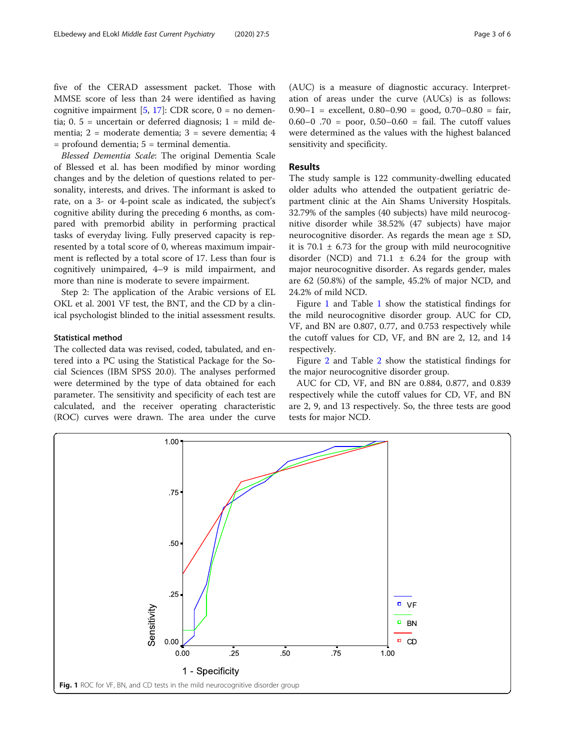five of the CERAD assessment packet. Those with MMSE score of less than 24 were identified as having cognitive impairment  $[5, 17]$  $[5, 17]$  $[5, 17]$  $[5, 17]$ : CDR score,  $0 =$  no dementia;  $0.5$  = uncertain or deferred diagnosis;  $1$  = mild dementia; 2 = moderate dementia; 3 = severe dementia; 4 = profound dementia; 5 = terminal dementia.

Blessed Dementia Scale: The original Dementia Scale of Blessed et al. has been modified by minor wording changes and by the deletion of questions related to personality, interests, and drives. The informant is asked to rate, on a 3- or 4-point scale as indicated, the subject's cognitive ability during the preceding 6 months, as compared with premorbid ability in performing practical tasks of everyday living. Fully preserved capacity is represented by a total score of 0, whereas maximum impairment is reflected by a total score of 17. Less than four is cognitively unimpaired, 4–9 is mild impairment, and more than nine is moderate to severe impairment.

Step 2: The application of the Arabic versions of EL OKL et al. 2001 VF test, the BNT, and the CD by a clinical psychologist blinded to the initial assessment results.

### Statistical method

The collected data was revised, coded, tabulated, and entered into a PC using the Statistical Package for the Social Sciences (IBM SPSS 20.0). The analyses performed were determined by the type of data obtained for each parameter. The sensitivity and specificity of each test are calculated, and the receiver operating characteristic (ROC) curves were drawn. The area under the curve (AUC) is a measure of diagnostic accuracy. Interpretation of areas under the curve (AUCs) is as follows:  $0.90-1$  = excellent,  $0.80-0.90$  = good,  $0.70-0.80$  = fair, 0.60–0.70 = poor, 0.50–0.60 = fail. The cutoff values were determined as the values with the highest balanced sensitivity and specificity.

## Results

The study sample is 122 community-dwelling educated older adults who attended the outpatient geriatric department clinic at the Ain Shams University Hospitals. 32.79% of the samples (40 subjects) have mild neurocognitive disorder while 38.52% (47 subjects) have major neurocognitive disorder. As regards the mean age  $\pm$  SD, it is 70.1  $\pm$  6.73 for the group with mild neurocognitive disorder (NCD) and 71.1  $\pm$  6.24 for the group with major neurocognitive disorder. As regards gender, males are 62 (50.8%) of the sample, 45.2% of major NCD, and 24.2% of mild NCD.

Figure 1 and Table [1](#page-3-0) show the statistical findings for the mild neurocognitive disorder group. AUC for CD, VF, and BN are 0.807, 0.77, and 0.753 respectively while the cutoff values for CD, VF, and BN are 2, 12, and 14 respectively.

Figure [2](#page-3-0) and Table [2](#page-4-0) show the statistical findings for the major neurocognitive disorder group.

AUC for CD, VF, and BN are 0.884, 0.877, and 0.839 respectively while the cutoff values for CD, VF, and BN are 2, 9, and 13 respectively. So, the three tests are good tests for major NCD.

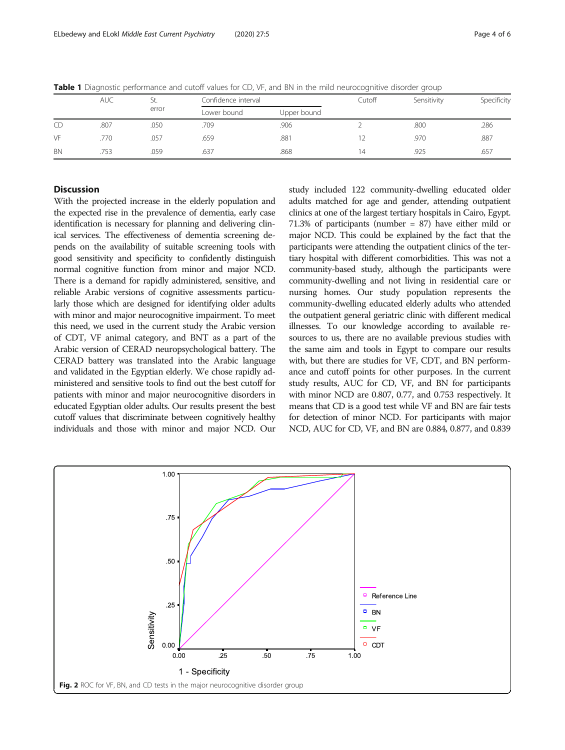|           | <b>AUC</b> | St.   | Confidence interval |             | Cutoff | Sensitivity | Specificity |
|-----------|------------|-------|---------------------|-------------|--------|-------------|-------------|
|           |            | error | Lower bound         | Upper bound |        |             |             |
| CD        | .807       | .050  | .709                | .906        |        | .800        | .286        |
| VF        | .770       | .057  | .659                | .881        |        | .970        | .887        |
| <b>BN</b> | .753       | .059  | .637                | .868        | 14     | .925        | .657        |

<span id="page-3-0"></span>Table 1 Diagnostic performance and cutoff values for CD, VF, and BN in the mild neurocognitive disorder group

# **Discussion**

With the projected increase in the elderly population and the expected rise in the prevalence of dementia, early case identification is necessary for planning and delivering clinical services. The effectiveness of dementia screening depends on the availability of suitable screening tools with good sensitivity and specificity to confidently distinguish normal cognitive function from minor and major NCD. There is a demand for rapidly administered, sensitive, and reliable Arabic versions of cognitive assessments particularly those which are designed for identifying older adults with minor and major neurocognitive impairment. To meet this need, we used in the current study the Arabic version of CDT, VF animal category, and BNT as a part of the Arabic version of CERAD neuropsychological battery. The CERAD battery was translated into the Arabic language and validated in the Egyptian elderly. We chose rapidly administered and sensitive tools to find out the best cutoff for patients with minor and major neurocognitive disorders in educated Egyptian older adults. Our results present the best cutoff values that discriminate between cognitively healthy individuals and those with minor and major NCD. Our study included 122 community-dwelling educated older adults matched for age and gender, attending outpatient clinics at one of the largest tertiary hospitals in Cairo, Egypt. 71.3% of participants (number = 87) have either mild or major NCD. This could be explained by the fact that the participants were attending the outpatient clinics of the tertiary hospital with different comorbidities. This was not a community-based study, although the participants were community-dwelling and not living in residential care or nursing homes. Our study population represents the community-dwelling educated elderly adults who attended the outpatient general geriatric clinic with different medical illnesses. To our knowledge according to available resources to us, there are no available previous studies with the same aim and tools in Egypt to compare our results with, but there are studies for VF, CDT, and BN performance and cutoff points for other purposes. In the current study results, AUC for CD, VF, and BN for participants with minor NCD are 0.807, 0.77, and 0.753 respectively. It means that CD is a good test while VF and BN are fair tests for detection of minor NCD. For participants with major NCD, AUC for CD, VF, and BN are 0.884, 0.877, and 0.839

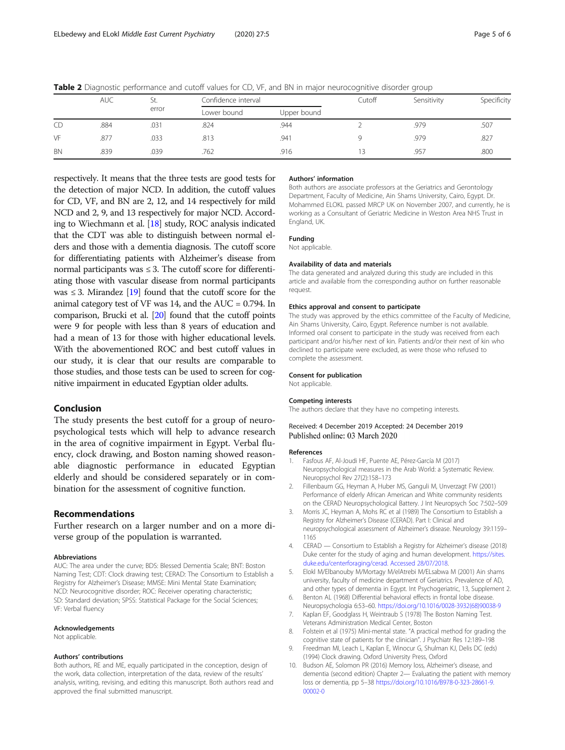|           | $\tilde{\phantom{a}}$ |              |                     |             |        | $\tilde{}$  |             |
|-----------|-----------------------|--------------|---------------------|-------------|--------|-------------|-------------|
|           | <b>AUC</b>            | St.<br>error | Confidence interval |             | Cutoff | Sensitivity | Specificity |
|           |                       |              | Lower bound         | Upper bound |        |             |             |
| CD        | .884                  | .031         | .824                | .944        |        | .979        | .507        |
| VF        | .877                  | .033         | .813                | .941        |        | .979        | .827        |
| <b>BN</b> | .839                  | .039         | .762                | .916        |        | .957        | .800        |

<span id="page-4-0"></span>Table 2 Diagnostic performance and cutoff values for CD, VF, and BN in major neurocognitive disorder group

respectively. It means that the three tests are good tests for the detection of major NCD. In addition, the cutoff values for CD, VF, and BN are 2, 12, and 14 respectively for mild NCD and 2, 9, and 13 respectively for major NCD. According to Wiechmann et al. [\[18\]](#page-5-0) study, ROC analysis indicated that the CDT was able to distinguish between normal elders and those with a dementia diagnosis. The cutoff score for differentiating patients with Alzheimer's disease from normal participants was  $\leq$  3. The cutoff score for differentiating those with vascular disease from normal participants was  $\leq$  3. Mirandez [\[19\]](#page-5-0) found that the cutoff score for the animal category test of  $VF$  was 14, and the  $AUC = 0.794$ . In comparison, Brucki et al. [\[20](#page-5-0)] found that the cutoff points were 9 for people with less than 8 years of education and had a mean of 13 for those with higher educational levels. With the abovementioned ROC and best cutoff values in our study, it is clear that our results are comparable to those studies, and those tests can be used to screen for cognitive impairment in educated Egyptian older adults.

# Conclusion

The study presents the best cutoff for a group of neuropsychological tests which will help to advance research in the area of cognitive impairment in Egypt. Verbal fluency, clock drawing, and Boston naming showed reasonable diagnostic performance in educated Egyptian elderly and should be considered separately or in combination for the assessment of cognitive function.

## Recommendations

Further research on a larger number and on a more diverse group of the population is warranted.

#### Abbreviations

AUC: The area under the curve; BDS: Blessed Dementia Scale; BNT: Boston Naming Test; CDT: Clock drawing test; CERAD: The Consortium to Establish a Registry for Alzheimer's Disease; MMSE: Mini Mental State Examination; NCD: Neurocognitive disorder; ROC: Receiver operating characteristic; SD: Standard deviation; SPSS: Statistical Package for the Social Sciences; VF: Verbal fluency

#### Acknowledgements

Not applicable.

#### Authors' contributions

Both authors, RE and ME, equally participated in the conception, design of the work, data collection, interpretation of the data, review of the results' analysis, writing, revising, and editing this manuscript. Both authors read and approved the final submitted manuscript.

#### Authors' information

Both authors are associate professors at the Geriatrics and Gerontology Department, Faculty of Medicine, Ain Shams University, Cairo, Egypt. Dr. Mohammed ELOKL passed MRCP UK on November 2007, and currently, he is working as a Consultant of Geriatric Medicine in Weston Area NHS Trust in England, UK.

### Funding

Not applicable.

#### Availability of data and materials

The data generated and analyzed during this study are included in this article and available from the corresponding author on further reasonable request.

#### Ethics approval and consent to participate

The study was approved by the ethics committee of the Faculty of Medicine, Ain Shams University, Cairo, Egypt. Reference number is not available. Informed oral consent to participate in the study was received from each participant and/or his/her next of kin. Patients and/or their next of kin who declined to participate were excluded, as were those who refused to complete the assessment.

#### Consent for publication

Not applicable.

#### Competing interests

The authors declare that they have no competing interests.

#### Received: 4 December 2019 Accepted: 24 December 2019 Published online: 03 March 2020

#### References

- 1. Fasfous AF, Al-Joudi HF, Puente AE, Pérez-García M (2017) Neuropsychological measures in the Arab World: a Systematic Review. Neuropsychol Rev 27(2):158–173
- 2. Fillenbaum GG, Heyman A, Huber MS, Ganguli M, Unverzagt FW (2001) Performance of elderly African American and White community residents on the CERAD Neuropsychological Battery. J Int Neuropsych Soc 7:502–509
- 3. Morris JC, Heyman A, Mohs RC et al (1989) The Consortium to Establish a Registry for Alzheimer's Disease (CERAD). Part I: Clinical and neuropsychological assessment of Alzheimer's disease. Neurology 39:1159– 1165
- 4. CERAD Consortium to Establish a Registry for Alzheimer's disease (2018) Duke center for the study of aging and human development. [https://sites.](https://sites.duke.edu/centerforaging/cerad.%20Accessed%2028/07/2018) [duke.edu/centerforaging/cerad. Accessed 28/07/2018](https://sites.duke.edu/centerforaging/cerad.%20Accessed%2028/07/2018).
- 5. Elokl M/Elbanouby M/Mortagy M/elAtrebi M/ELsabwa M (2001) Ain shams university, faculty of medicine department of Geriatrics. Prevalence of AD, and other types of dementia in Egypt. Int Psychogeriatric, 13, Supplement 2.
- 6. Benton AL (1968) Differential behavioral effects in frontal lobe disease. Neuropsychologia 6:53–60. [https://doi.org/10.1016/0028-3932\(68\)90038-9](https://doi.org/10.1016/0028-3932(68)90038-9)
- Kaplan EF, Goodglass H, Weintraub S (1978) The Boston Naming Test. Veterans Administration Medical Center, Boston
- 8. Folstein et al (1975) Mini-mental state. "A practical method for grading the cognitive state of patients for the clinician". J Psychiatr Res 12:189–198
- 9. Freedman MI, Leach L, Kaplan E, Winocur G, Shulman KJ, Delis DC (eds) (1994) Clock drawing. Oxford University Press, Oxford
- 10. Budson AE, Solomon PR (2016) Memory loss, Alzheimer's disease, and dementia (second edition) Chapter 2— Evaluating the patient with memory loss or dementia, pp 5–38 [https://doi.org/10.1016/B978-0-323-28661-9.](https://doi.org/10.1016/B978-0-323-28661-9.00002-0) [00002-0](https://doi.org/10.1016/B978-0-323-28661-9.00002-0)